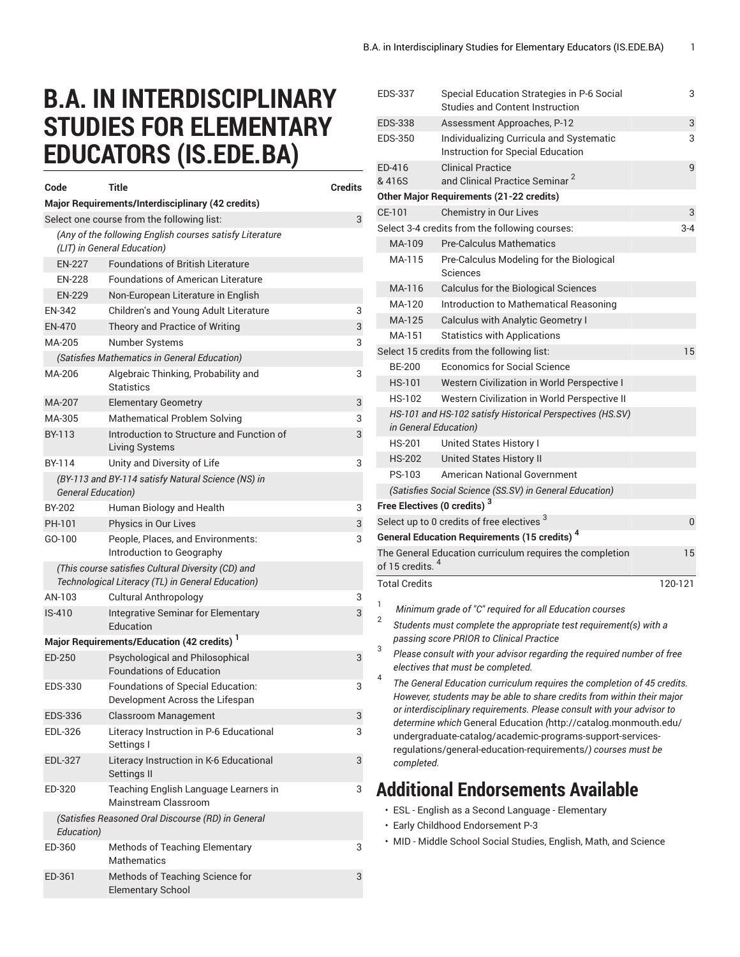## **B.A. IN INTERDISCIPLINARY STUDIES FOR ELEMENTARY EDUCATORS (IS.EDE.BA)**

| Code                                                                                                    | <b>Title</b>                                                         | Credits |  |  |
|---------------------------------------------------------------------------------------------------------|----------------------------------------------------------------------|---------|--|--|
|                                                                                                         | Major Requirements/Interdisciplinary (42 credits)                    |         |  |  |
|                                                                                                         | Select one course from the following list:                           | 3       |  |  |
| (Any of the following English courses satisfy Literature<br>(LIT) in General Education)                 |                                                                      |         |  |  |
| <b>EN-227</b>                                                                                           | <b>Foundations of British Literature</b>                             |         |  |  |
| <b>EN-228</b>                                                                                           | <b>Foundations of American Literature</b>                            |         |  |  |
| <b>EN-229</b>                                                                                           | Non-European Literature in English                                   |         |  |  |
| EN-342                                                                                                  | Children's and Young Adult Literature                                | 3       |  |  |
| EN-470                                                                                                  | Theory and Practice of Writing                                       | 3       |  |  |
| MA-205                                                                                                  | <b>Number Systems</b>                                                | 3       |  |  |
|                                                                                                         | (Satisfies Mathematics in General Education)                         |         |  |  |
| MA-206                                                                                                  | Algebraic Thinking, Probability and<br><b>Statistics</b>             | 3       |  |  |
| MA-207                                                                                                  | <b>Elementary Geometry</b>                                           | 3       |  |  |
| MA-305                                                                                                  | <b>Mathematical Problem Solving</b>                                  | 3       |  |  |
| BY-113                                                                                                  | Introduction to Structure and Function of<br>Living Systems          | 3       |  |  |
| BY-114                                                                                                  | Unity and Diversity of Life                                          | 3       |  |  |
| <b>General Education)</b>                                                                               | (BY-113 and BY-114 satisfy Natural Science (NS) in                   |         |  |  |
| BY-202                                                                                                  | Human Biology and Health                                             | 3       |  |  |
| PH-101                                                                                                  | Physics in Our Lives                                                 | 3       |  |  |
| GO-100                                                                                                  | People, Places, and Environments:<br>Introduction to Geography       | 3       |  |  |
| (This course satisfies Cultural Diversity (CD) and<br>Technological Literacy (TL) in General Education) |                                                                      |         |  |  |
| AN-103                                                                                                  | <b>Cultural Anthropology</b>                                         | 3       |  |  |
| $IS-410$                                                                                                | Integrative Seminar for Elementary<br>Education                      | 3       |  |  |
|                                                                                                         | Major Requirements/Education (42 credits) <sup>1</sup>               |         |  |  |
| ED-250                                                                                                  | Psychological and Philosophical<br><b>Foundations of Education</b>   | 3       |  |  |
| EDS-330                                                                                                 | Foundations of Special Education:<br>Development Across the Lifespan | 3       |  |  |
| EDS-336                                                                                                 | Classroom Management                                                 | 3       |  |  |
| EDL-326                                                                                                 | Literacy Instruction in P-6 Educational<br>Settings I                | 3       |  |  |
| EDL-327                                                                                                 | Literacy Instruction in K-6 Educational<br>Settings II               | 3       |  |  |
| ED-320                                                                                                  | Teaching English Language Learners in<br>Mainstream Classroom        | 3       |  |  |
| Education)                                                                                              | (Satisfies Reasoned Oral Discourse (RD) in General                   |         |  |  |
| ED-360                                                                                                  | <b>Methods of Teaching Elementary</b><br><b>Mathematics</b>          | 3       |  |  |
| ED-361                                                                                                  | Methods of Teaching Science for<br><b>Elementary School</b>          | 3       |  |  |

| <b>EDS-337</b>              | Special Education Strategies in P-6 Social<br><b>Studies and Content Instruction</b>                                                              | 3       |
|-----------------------------|---------------------------------------------------------------------------------------------------------------------------------------------------|---------|
| <b>EDS-338</b>              | Assessment Approaches, P-12                                                                                                                       | 3       |
| <b>EDS-350</b>              | Individualizing Curricula and Systematic<br>Instruction for Special Education                                                                     | 3       |
| FD-416<br>& 416S            | <b>Clinical Practice</b><br>and Clinical Practice Seminar <sup>2</sup>                                                                            | 9       |
|                             | <b>Other Major Requirements (21-22 credits)</b>                                                                                                   |         |
| CE-101                      | <b>Chemistry in Our Lives</b>                                                                                                                     | 3       |
|                             | Select 3-4 credits from the following courses:                                                                                                    | 3-4     |
| MA-109                      | <b>Pre-Calculus Mathematics</b>                                                                                                                   |         |
| MA-115                      | Pre-Calculus Modeling for the Biological<br>Sciences                                                                                              |         |
| MA-116                      | Calculus for the Biological Sciences                                                                                                              |         |
| MA-120                      | Introduction to Mathematical Reasoning                                                                                                            |         |
| MA-125                      | <b>Calculus with Analytic Geometry I</b>                                                                                                          |         |
| MA-151                      | <b>Statistics with Applications</b>                                                                                                               |         |
|                             | Select 15 credits from the following list:                                                                                                        | 15      |
| <b>BE-200</b>               | Economics for Social Science                                                                                                                      |         |
| <b>HS-101</b>               | Western Civilization in World Perspective I                                                                                                       |         |
| <b>HS-102</b>               | Western Civilization in World Perspective II                                                                                                      |         |
|                             | HS-101 and HS-102 satisfy Historical Perspectives (HS.SV)<br>in General Education)                                                                |         |
| <b>HS-201</b>               | United States History I                                                                                                                           |         |
| <b>HS-202</b>               | <b>United States History II</b>                                                                                                                   |         |
| PS-103                      | <b>American National Government</b>                                                                                                               |         |
|                             | (Satisfies Social Science (SS.SV) in General Education)                                                                                           |         |
|                             | Free Electives (0 credits) <sup>3</sup>                                                                                                           |         |
|                             | Select up to 0 credits of free electives <sup>3</sup>                                                                                             | 0       |
|                             | <b>General Education Requirements (15 credits) 4</b>                                                                                              |         |
| of 15 credits. <sup>4</sup> | The General Education curriculum requires the completion                                                                                          | 15      |
| <b>Total Credits</b>        |                                                                                                                                                   | 120-121 |
| 1                           |                                                                                                                                                   |         |
| 2                           | Minimum grade of "C" required for all Education courses                                                                                           |         |
| 3                           | Students must complete the appropriate test requirement(s) with a<br>passing score PRIOR to Clinical Practice                                     |         |
| 4                           | Please consult with your advisor regarding the required number of free<br>electives that must be completed.                                       |         |
|                             | The General Education curriculum requires the completion of 45 credits.<br>However, students may be able to share credits from within their major |         |
|                             | or interdisciplinary requirements. Please consult with your advisor to<br>determine which General Education (http://catalog.monmouth.edu/         |         |
| completed.                  | undergraduate-catalog/academic-programs-support-services-<br>regulations/general-education-requirements/) courses must be                         |         |
|                             | <b>Additional Endorsements Available</b>                                                                                                          |         |
|                             | • ESL - English as a Second Language - Elementary                                                                                                 |         |
|                             | · Early Childhood Endorsement P-3                                                                                                                 |         |
|                             |                                                                                                                                                   |         |

• MID - Middle School Social Studies, English, Math, and Science